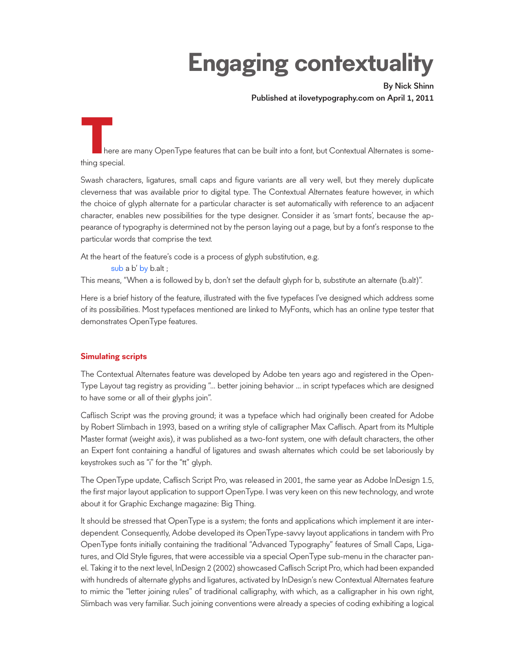# **Engaging contextuality**

By Nick Shinn Published at ilovetypography.com on April 1, 2011

**T**here are many OpenType features that can be built into a font, but Contextual Alternates is something special.

Swash characters, ligatures, small caps and figure variants are all very well, but they merely duplicate cleverness that was available prior to digital type. The Contextual Alternates feature however, in which the choice of glyph alternate for a particular character is set automatically with reference to an adjacent character, enables new possibilities for the type designer. Consider it as 'smart fonts', because the appearance of typography is determined not by the person laying out a page, but by a font's response to the particular words that comprise the text.

At the heart of the feature's code is a process of glyph substitution, e.g.

sub a b' by b.alt ;

This means, "When a is followed by b, don't set the default glyph for b, substitute an alternate (b.alt)".

Here is a brief history of the feature, illustrated with the five typefaces I've designed which address some of its possibilities. Most typefaces mentioned are linked to MyFonts, which has an online type tester that demonstrates OpenType features.

# **Simulating scripts**

The Contextual Alternates feature was developed by Adobe ten years ago and registered in the Open-Type Layout tag registry as providing "… better joining behavior … in script typefaces which are designed to have some or all of their glyphs join".

Caflisch Script was the proving ground; it was a typeface which had originally been created for Adobe by Robert Slimbach in 1993, based on a writing style of calligrapher Max Caflisch. Apart from its Multiple Master format (weight axis), it was published as a two-font system, one with default characters, the other an Expert font containing a handful of ligatures and swash alternates which could be set laboriously by keystrokes such as "i" for the "tt" glyph.

The OpenType update, Caflisch Script Pro, was released in 2001, the same year as Adobe InDesign 1.5, the first major layout application to support OpenType. I was very keen on this new technology, and wrote about it for Graphic Exchange magazine: Big Thing.

It should be stressed that OpenType is a system; the fonts and applications which implement it are interdependent. Consequently, Adobe developed its OpenType-savvy layout applications in tandem with Pro OpenType fonts initially containing the traditional "Advanced Typography" features of Small Caps, Ligatures, and Old Style figures, that were accessible via a special OpenType sub-menu in the character panel. Taking it to the next level, InDesign 2 (2002) showcased Caflisch Script Pro, which had been expanded with hundreds of alternate glyphs and ligatures, activated by InDesign's new Contextual Alternates feature to mimic the "letter joining rules" of traditional calligraphy, with which, as a calligrapher in his own right, Slimbach was very familiar. Such joining conventions were already a species of coding exhibiting a logical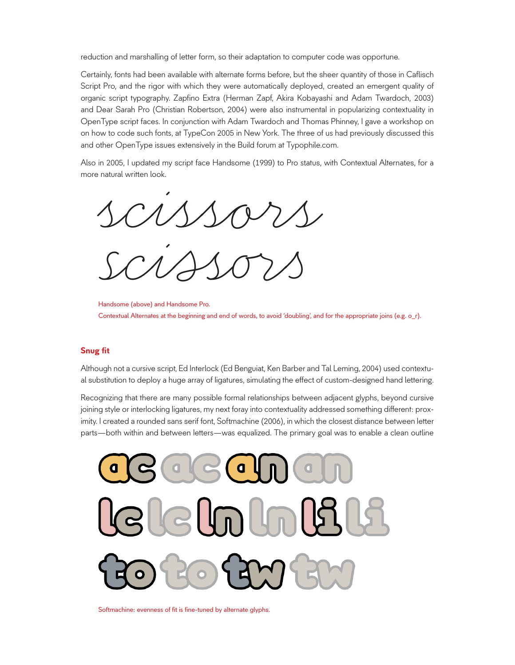reduction and marshalling of letter form, so their adaptation to computer code was opportune.

Certainly, fonts had been available with alternate forms before, but the sheer quantity of those in Caflisch Script Pro, and the rigor with which they were automatically deployed, created an emergent quality of organic script typography. Zapfino Extra (Herman Zapf, Akira Kobayashi and Adam Twardoch, 2003) and Dear Sarah Pro (Christian Robertson, 2004) were also instrumental in popularizing contextuality in OpenType script faces. In conjunction with Adam Twardoch and Thomas Phinney, I gave a workshop on on how to code such fonts, at TypeCon 2005 in New York. The three of us had previously discussed this and other OpenType issues extensively in the Build forum at Typophile.com.

Also in 2005, I updated my script face Handsome (1999) to Pro status, with Contextual Alternates, for a more natural written look.

more natural written look.<br>
SCUSSOVS scissors

## **Snug fit**

Although not a cursive script, Ed Interlock (Ed Benguiat, Ken Barber and Tal Leming, 2004) used contextual substitution to deploy a huge array of ligatures, simulating the effect of custom-designed hand lettering.

Recognizing that there are many possible formal relationships between adjacent glyphs, beyond cursive joining style or interlocking ligatures, my next foray into contextuality addressed something different: proximity. I created a rounded sans serif font, Softmachine (2006), in which the closest distance between letter parts—both within and between letters—was equalized. The primary goal was to enable a clean outline



Softmachine: evenness of fit is fine-tuned by alternate glyphs.

Handsome (above) and Handsome Pro. Contextual Alternates at the beginning and end of words, to avoid 'doubling', and for the appropriate joins (e.g. o\_r).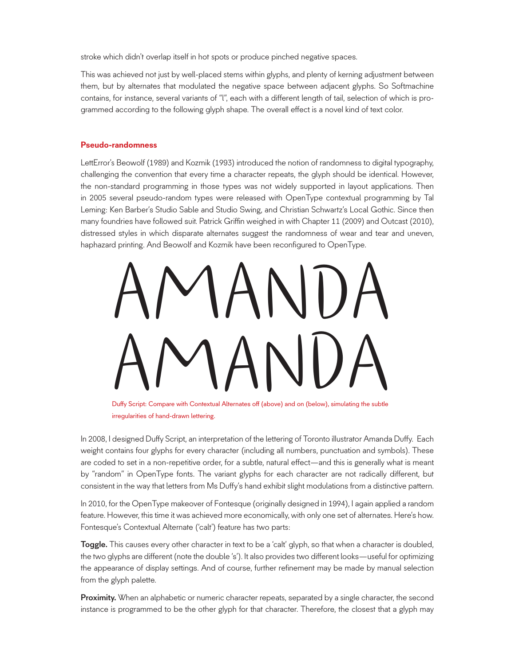stroke which didn't overlap itself in hot spots or produce pinched negative spaces.

This was achieved not just by well-placed stems within glyphs, and plenty of kerning adjustment between them, but by alternates that modulated the negative space between adjacent glyphs. So Softmachine contains, for instance, several variants of "l", each with a different length of tail, selection of which is programmed according to the following glyph shape. The overall effect is a novel kind of text color.

## **Pseudo-randomness**

LettError's Beowolf (1989) and Kozmik (1993) introduced the notion of randomness to digital typography, challenging the convention that every time a character repeats, the glyph should be identical. However, the non-standard programming in those types was not widely supported in layout applications. Then in 2005 several pseudo-random types were released with OpenType contextual programming by Tal Leming: Ken Barber's Studio Sable and Studio Swing, and Christian Schwartz's Local Gothic. Since then many foundries have followed suit. Patrick Griffin weighed in with Chapter 11 (2009) and Outcast (2010), distressed styles in which disparate alternates suggest the randomness of wear and tear and uneven, haphazard printing. And Beowolf and Kozmik have been reconfigured to OpenType.

AMANDA Puffy Script: Compare with Contextual Alternates off (above) and on (below), simulating the subtle

Duffy Script: Compare with Contextual Alternates off (above) and on (below), simulating the subtle irregularities of hand-drawn lettering.

In 2008, I designed Duffy Script, an interpretation of the lettering of Toronto illustrator Amanda Duffy. Each weight contains four glyphs for every character (including all numbers, punctuation and symbols). These are coded to set in a non-repetitive order, for a subtle, natural effect—and this is generally what is meant by "random" in OpenType fonts. The variant glyphs for each character are not radically different, but consistent in the way that letters from Ms Duffy's hand exhibit slight modulations from a distinctive pattern.

In 2010, for the OpenType makeover of Fontesque (originally designed in 1994), I again applied a random feature. However, this time it was achieved more economically, with only one set of alternates. Here's how. Fontesque's Contextual Alternate ('calt') feature has two parts:

Toggle. This causes every other character in text to be a 'calt' glyph, so that when a character is doubled, the two glyphs are different (note the double 's'). It also provides two different looks—useful for optimizing the appearance of display settings. And of course, further refinement may be made by manual selection from the glyph palette.

**Proximity.** When an alphabetic or numeric character repeats, separated by a single character, the second instance is programmed to be the other glyph for that character. Therefore, the closest that a glyph may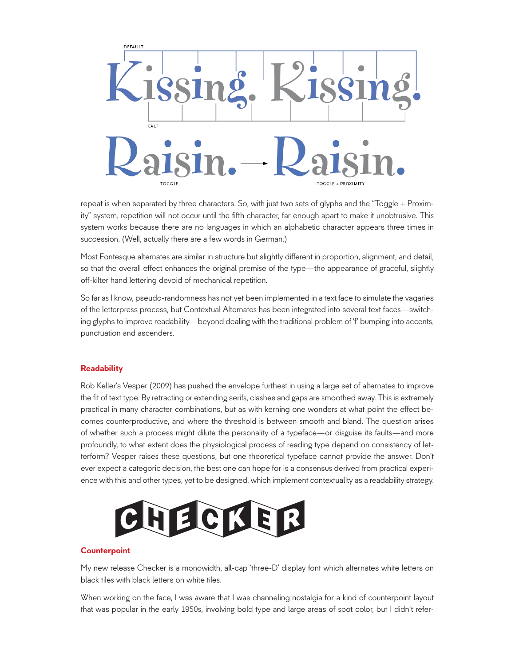

repeat is when separated by three characters. So, with just two sets of glyphs and the "Toggle + Proximity" system, repetition will not occur until the fifth character, far enough apart to make it unobtrusive. This system works because there are no languages in which an alphabetic character appears three times in succession. (Well, actually there are a few words in German.)

Most Fontesque alternates are similar in structure but slightly different in proportion, alignment, and detail, so that the overall effect enhances the original premise of the type—the appearance of graceful, slightly off-kilter hand lettering devoid of mechanical repetition.

So far as I know, pseudo-randomness has not yet been implemented in a text face to simulate the vagaries of the letterpress process, but Contextual Alternates has been integrated into several text faces—switching glyphs to improve readability—beyond dealing with the traditional problem of 'f' bumping into accents, punctuation and ascenders.

# **Readability**

Rob Keller's Vesper (2009) has pushed the envelope furthest in using a large set of alternates to improve the fit of text type. By retracting or extending serifs, clashes and gaps are smoothed away. This is extremely practical in many character combinations, but as with kerning one wonders at what point the effect becomes counterproductive, and where the threshold is between smooth and bland. The question arises of whether such a process might dilute the personality of a typeface—or disguise its faults—and more profoundly, to what extent does the physiological process of reading type depend on consistency of letterform? Vesper raises these questions, but one theoretical typeface cannot provide the answer. Don't ever expect a categoric decision, the best one can hope for is a consensus derived from practical experience with this and other types, yet to be designed, which implement contextuality as a readability strategy.



#### **Counterpoint**

My new release Checker is a monowidth, all-cap 'three-D' display font which alternates white letters on black tiles with black letters on white tiles.

When working on the face, I was aware that I was channeling nostalgia for a kind of counterpoint layout that was popular in the early 1950s, involving bold type and large areas of spot color, but I didn't refer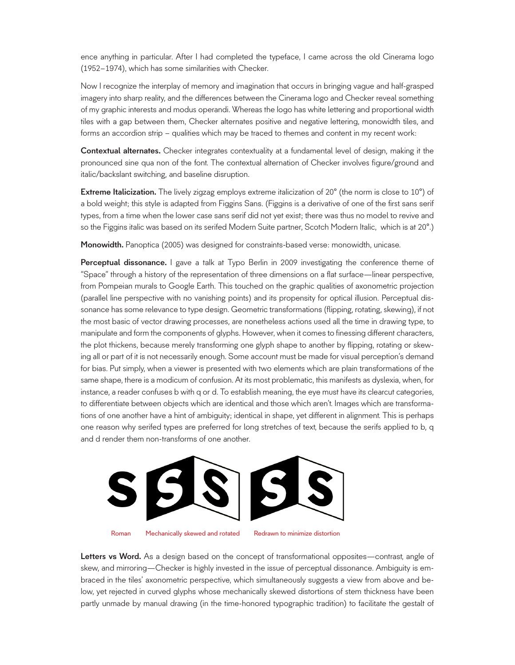ence anything in particular. After I had completed the typeface, I came across the old Cinerama logo (1952–1974), which has some similarities with Checker.

Now I recognize the interplay of memory and imagination that occurs in bringing vague and half-grasped imagery into sharp reality, and the differences between the Cinerama logo and Checker reveal something of my graphic interests and modus operandi. Whereas the logo has white lettering and proportional width tiles with a gap between them, Checker alternates positive and negative lettering, monowidth tiles, and forms an accordion strip – qualities which may be traced to themes and content in my recent work:

Contextual alternates. Checker integrates contextuality at a fundamental level of design, making it the pronounced sine qua non of the font. The contextual alternation of Checker involves figure/ground and italic/backslant switching, and baseline disruption.

**Extreme Italicization.** The lively zigzag employs extreme italicization of 20° (the norm is close to 10°) of a bold weight; this style is adapted from Figgins Sans. (Figgins is a derivative of one of the first sans serif types, from a time when the lower case sans serif did not yet exist; there was thus no model to revive and so the Figgins italic was based on its serifed Modern Suite partner, Scotch Modern Italic, which is at 20°.)

Monowidth. Panoptica (2005) was designed for constraints-based verse: monowidth, unicase.

Perceptual dissonance. I gave a talk at Typo Berlin in 2009 investigating the conference theme of "Space" through a history of the representation of three dimensions on a flat surface—linear perspective, from Pompeian murals to Google Earth. This touched on the graphic qualities of axonometric projection (parallel line perspective with no vanishing points) and its propensity for optical illusion. Perceptual dissonance has some relevance to type design. Geometric transformations (flipping, rotating, skewing), if not the most basic of vector drawing processes, are nonetheless actions used all the time in drawing type, to manipulate and form the components of glyphs. However, when it comes to finessing different characters, the plot thickens, because merely transforming one glyph shape to another by flipping, rotating or skewing all or part of it is not necessarily enough. Some account must be made for visual perception's demand for bias. Put simply, when a viewer is presented with two elements which are plain transformations of the same shape, there is a modicum of confusion. At its most problematic, this manifests as dyslexia, when, for instance, a reader confuses b with q or d. To establish meaning, the eye must have its clearcut categories, to differentiate between objects which are identical and those which aren't. Images which are transformations of one another have a hint of ambiguity; identical in shape, yet different in alignment. This is perhaps one reason why serifed types are preferred for long stretches of text, because the serifs applied to b, q and d render them non-transforms of one another.



Roman Mechanically skewed and rotated Redrawn to minimize distortion

Letters vs Word. As a design based on the concept of transformational opposites—contrast, angle of skew, and mirroring—Checker is highly invested in the issue of perceptual dissonance. Ambiguity is embraced in the tiles' axonometric perspective, which simultaneously suggests a view from above and below, yet rejected in curved glyphs whose mechanically skewed distortions of stem thickness have been partly unmade by manual drawing (in the time-honored typographic tradition) to facilitate the gestalt of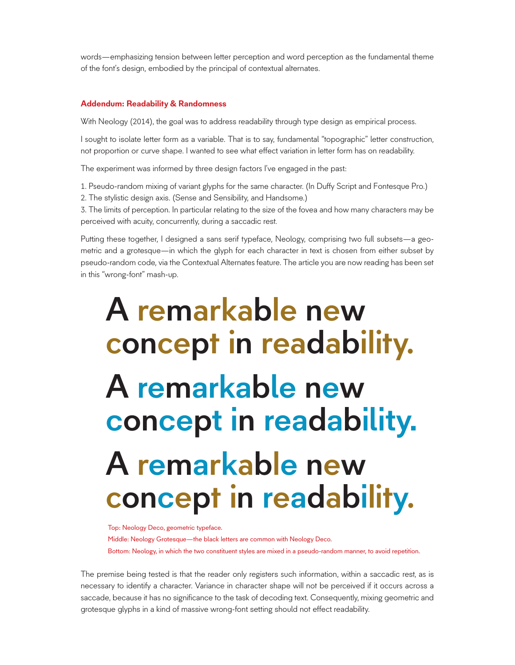words—emphasizing tension between letter perception and word perception as the fundamental theme of the font's design, embodied by the principal of contextual alternates.

#### **Addendum: Readability & Randomness**

With Neology (2014), the goal was to address readability through type design as empirical process.

I sought to isolate letter form as a variable. That is to say, fundamental "topographic" letter construction, not proportion or curve shape. I wanted to see what effect variation in letter form has on readability.

The experiment was informed by three design factors I've engaged in the past:

1. Pseudo-random mixing of variant glyphs for the same character. (In Duffy Script and Fontesque Pro.)

2. The stylistic design axis. (Sense and Sensibility, and Handsome.)

3. The limits of perception. In particular relating to the size of the fovea and how many characters may be perceived with acuity, concurrently, during a saccadic rest.

Putting these together, I designed a sans serif typeface, Neology, comprising two full subsets—a geometric and a grotesque—in which the glyph for each character in text is chosen from either subset by pseudo-random code, via the Contextual Alternates feature. The article you are now reading has been set in this "wrong-font" mash-up.

# A remarkable new concept in readability. A remarkable new concept in readability. A remarkable new concept in readability.

Top: Neology Deco, geometric typeface.

Middle: Neology Grotesque—the black letters are common with Neology Deco. Bottom: Neology, in which the two constituent styles are mixed in a pseudo-random manner, to avoid repetition.

The premise being tested is that the reader only registers such information, within a saccadic rest, as is necessary to identify a character. Variance in character shape will not be perceived if it occurs across a saccade, because it has no significance to the task of decoding text. Consequently, mixing geometric and grotesque glyphs in a kind of massive wrong-font setting should not effect readability.